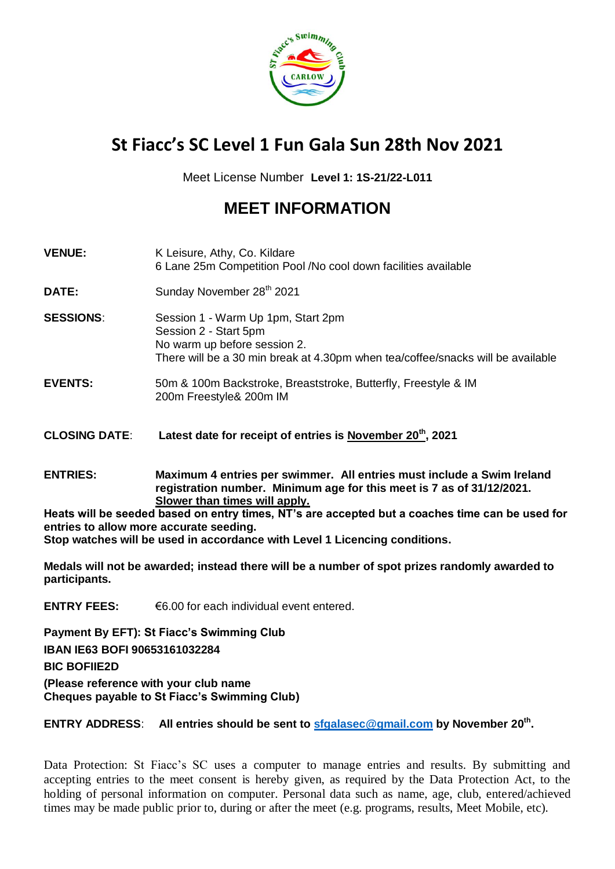

# **St Fiacc's SC Level 1 Fun Gala Sun 28th Nov 2021**

Meet License Number **Level 1: 1S-21/22-L011**

## **MEET INFORMATION**

| <b>VENUE:</b>        | K Leisure, Athy, Co. Kildare<br>6 Lane 25m Competition Pool /No cool down facilities available                                                                                   |
|----------------------|----------------------------------------------------------------------------------------------------------------------------------------------------------------------------------|
| DATE:                | Sunday November 28 <sup>th</sup> 2021                                                                                                                                            |
| <b>SESSIONS:</b>     | Session 1 - Warm Up 1pm, Start 2pm<br>Session 2 - Start 5pm<br>No warm up before session 2.<br>There will be a 30 min break at 4.30pm when tea/coffee/snacks will be available   |
| <b>EVENTS:</b>       | 50m & 100m Backstroke, Breaststroke, Butterfly, Freestyle & IM<br>200m Freestyle& 200m IM                                                                                        |
| <b>CLOSING DATE:</b> | Latest date for receipt of entries is November 20 <sup>th</sup> , 2021                                                                                                           |
| <b>ENTRIES:</b>      | Maximum 4 entries per swimmer. All entries must include a Swim Ireland<br>registration number. Minimum age for this meet is 7 as of 31/12/2021.<br>Slower than times will apply. |

**Heats will be seeded based on entry times, NT's are accepted but a coaches time can be used for entries to allow more accurate seeding. Stop watches will be used in accordance with Level 1 Licencing conditions.**

**Medals will not be awarded; instead there will be a number of spot prizes randomly awarded to participants.**

**ENTRY FEES:** €6.00 for each individual event entered.

**Payment By EFT): St Fiacc's Swimming Club IBAN IE63 BOFI 90653161032284 BIC BOFIIE2D (Please reference with your club name Cheques payable to St Fiacc's Swimming Club)**

**ENTRY ADDRESS**: **All entries should be sent to [sfgalasec@gmail.com](mailto:sfgalasec@gmail.com) by November 20th .**

Data Protection: St Fiacc's SC uses a computer to manage entries and results. By submitting and accepting entries to the meet consent is hereby given, as required by the Data Protection Act, to the holding of personal information on computer. Personal data such as name, age, club, entered/achieved times may be made public prior to, during or after the meet (e.g. programs, results, Meet Mobile, etc).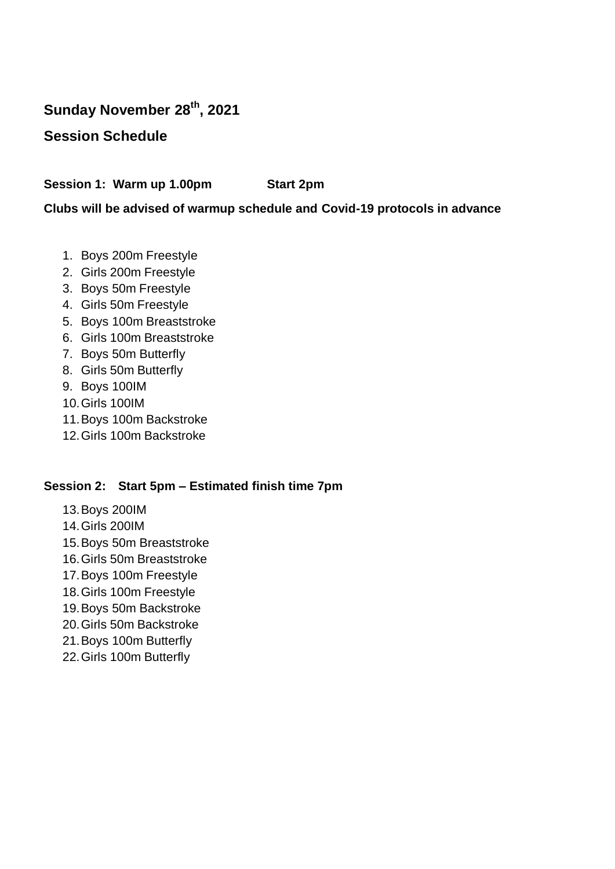## **Sunday November 28th, 2021**

### **Session Schedule**

**Session 1: Warm up 1.00pm Start 2pm**

#### **Clubs will be advised of warmup schedule and Covid-19 protocols in advance**

- 1. Boys 200m Freestyle
- 2. Girls 200m Freestyle
- 3. Boys 50m Freestyle
- 4. Girls 50m Freestyle
- 5. Boys 100m Breaststroke
- 6. Girls 100m Breaststroke
- 7. Boys 50m Butterfly
- 8. Girls 50m Butterfly
- 9. Boys 100IM
- 10.Girls 100IM
- 11.Boys 100m Backstroke
- 12.Girls 100m Backstroke

#### **Session 2: Start 5pm – Estimated finish time 7pm**

- 13.Boys 200IM
- 14.Girls 200IM
- 15.Boys 50m Breaststroke
- 16.Girls 50m Breaststroke
- 17.Boys 100m Freestyle
- 18.Girls 100m Freestyle
- 19.Boys 50m Backstroke
- 20.Girls 50m Backstroke
- 21.Boys 100m Butterfly
- 22.Girls 100m Butterfly